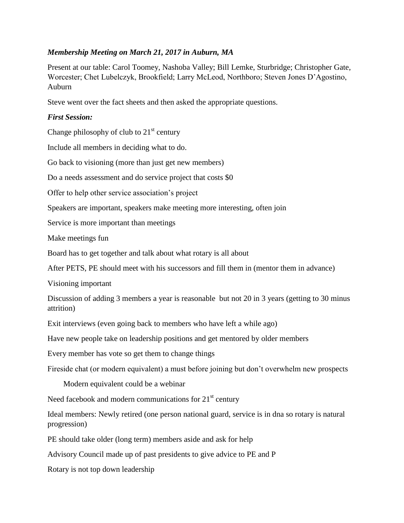# *Membership Meeting on March 21, 2017 in Auburn, MA*

Present at our table: Carol Toomey, Nashoba Valley; Bill Lemke, Sturbridge; Christopher Gate, Worcester; Chet Lubelczyk, Brookfield; Larry McLeod, Northboro; Steven Jones D'Agostino, Auburn

Steve went over the fact sheets and then asked the appropriate questions.

# *First Session:*

Change philosophy of club to  $21<sup>st</sup>$  century

Include all members in deciding what to do.

Go back to visioning (more than just get new members)

Do a needs assessment and do service project that costs \$0

Offer to help other service association's project

Speakers are important, speakers make meeting more interesting, often join

Service is more important than meetings

Make meetings fun

Board has to get together and talk about what rotary is all about

After PETS, PE should meet with his successors and fill them in (mentor them in advance)

Visioning important

Discussion of adding 3 members a year is reasonable but not 20 in 3 years (getting to 30 minus attrition)

Exit interviews (even going back to members who have left a while ago)

Have new people take on leadership positions and get mentored by older members

Every member has vote so get them to change things

Fireside chat (or modern equivalent) a must before joining but don't overwhelm new prospects

Modern equivalent could be a webinar

Need facebook and modern communications for  $21<sup>st</sup>$  century

Ideal members: Newly retired (one person national guard, service is in dna so rotary is natural progression)

PE should take older (long term) members aside and ask for help

Advisory Council made up of past presidents to give advice to PE and P

Rotary is not top down leadership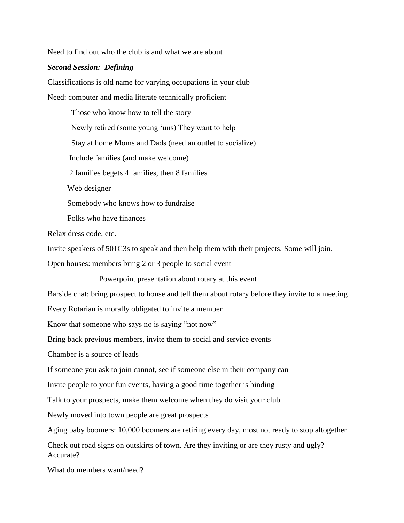Need to find out who the club is and what we are about

### *Second Session: Defining*

Classifications is old name for varying occupations in your club Need: computer and media literate technically proficient

 Those who know how to tell the story Newly retired (some young 'uns) They want to help Stay at home Moms and Dads (need an outlet to socialize) Include families (and make welcome) 2 families begets 4 families, then 8 families Web designer Somebody who knows how to fundraise

Folks who have finances

Relax dress code, etc.

Invite speakers of 501C3s to speak and then help them with their projects. Some will join.

Open houses: members bring 2 or 3 people to social event

Powerpoint presentation about rotary at this event

Barside chat: bring prospect to house and tell them about rotary before they invite to a meeting

Every Rotarian is morally obligated to invite a member

Know that someone who says no is saying "not now"

Bring back previous members, invite them to social and service events

Chamber is a source of leads

If someone you ask to join cannot, see if someone else in their company can

Invite people to your fun events, having a good time together is binding

Talk to your prospects, make them welcome when they do visit your club

Newly moved into town people are great prospects

Aging baby boomers: 10,000 boomers are retiring every day, most not ready to stop altogether

Check out road signs on outskirts of town. Are they inviting or are they rusty and ugly? Accurate?

What do members want/need?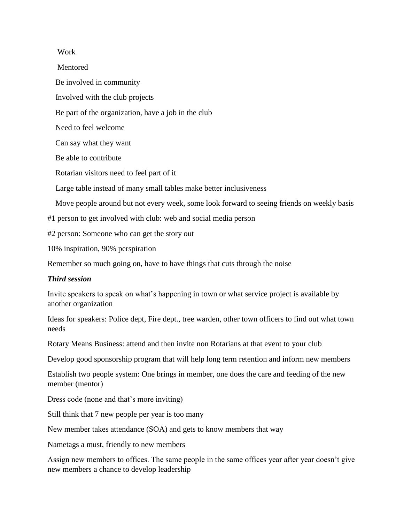### Work

 Mentored Be involved in community Involved with the club projects Be part of the organization, have a job in the club Need to feel welcome Can say what they want Be able to contribute Rotarian visitors need to feel part of it Large table instead of many small tables make better inclusiveness Move people around but not every week, some look forward to seeing friends on weekly basis #1 person to get involved with club: web and social media person #2 person: Someone who can get the story out

10% inspiration, 90% perspiration

Remember so much going on, have to have things that cuts through the noise

# *Third session*

Invite speakers to speak on what's happening in town or what service project is available by another organization

Ideas for speakers: Police dept, Fire dept., tree warden, other town officers to find out what town needs

Rotary Means Business: attend and then invite non Rotarians at that event to your club

Develop good sponsorship program that will help long term retention and inform new members

Establish two people system: One brings in member, one does the care and feeding of the new member (mentor)

Dress code (none and that's more inviting)

Still think that 7 new people per year is too many

New member takes attendance (SOA) and gets to know members that way

Nametags a must, friendly to new members

Assign new members to offices. The same people in the same offices year after year doesn't give new members a chance to develop leadership